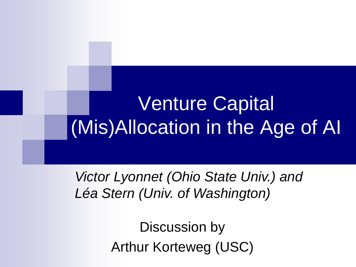# Venture Capital (Mis)Allocation in the Age of AI

*Victor Lyonnet (Ohio State Univ.) and Léa Stern (Univ. of Washington)*

> Discussion by Arthur Korteweg (USC)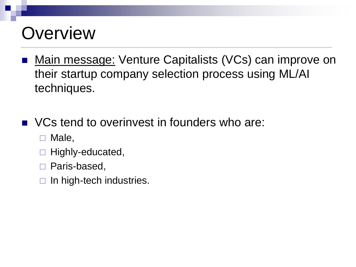# **Overview**

- Main message: Venture Capitalists (VCs) can improve on their startup company selection process using ML/AI techniques.
- VCs tend to overinvest in founders who are:
	- $\Box$  Male,
	- Highly-educated,
	- □ Paris-based,
	- $\Box$  In high-tech industries.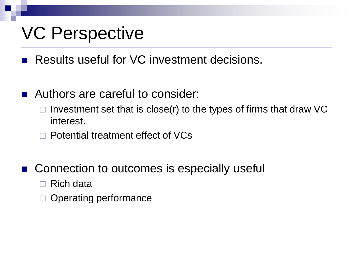### VC Perspective

Results useful for VC investment decisions.

- Authors are careful to consider:
	- $\Box$  Investment set that is close(r) to the types of firms that draw VC interest.
	- □ Potential treatment effect of VCs
- Connection to outcomes is especially useful
	- □ Rich data
	- Operating performance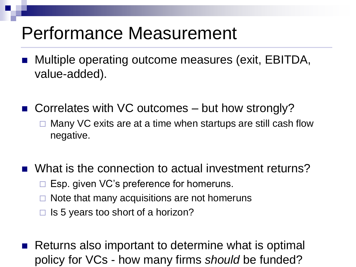#### Performance Measurement

- Multiple operating outcome measures (exit, EBITDA, value-added).
- Correlates with VC outcomes but how strongly?
	- $\Box$  Many VC exits are at a time when startups are still cash flow negative.
- What is the connection to actual investment returns?
	- Esp. given VC's preference for homeruns.
	- Note that many acquisitions are not homeruns
	- $\Box$  Is 5 years too short of a horizon?
- Returns also important to determine what is optimal policy for VCs - how many firms *should* be funded?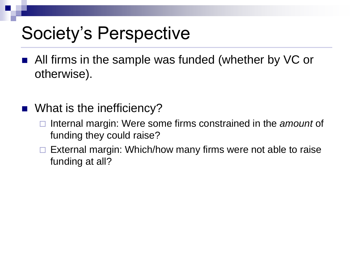### Society's Perspective

- All firms in the sample was funded (whether by VC or otherwise).
- What is the inefficiency?
	- Internal margin: Were some firms constrained in the *amount* of funding they could raise?
	- $\Box$  External margin: Which/how many firms were not able to raise funding at all?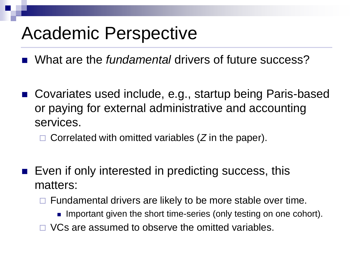## Academic Perspective

What are the *fundamental* drivers of future success?

- Covariates used include, e.g., startup being Paris-based or paying for external administrative and accounting services.
	- □ Correlated with omitted variables (Z in the paper).
- Even if only interested in predicting success, this matters:
	- Fundamental drivers are likely to be more stable over time.
		- Important given the short time-series (only testing on one cohort).
	- □ VCs are assumed to observe the omitted variables.